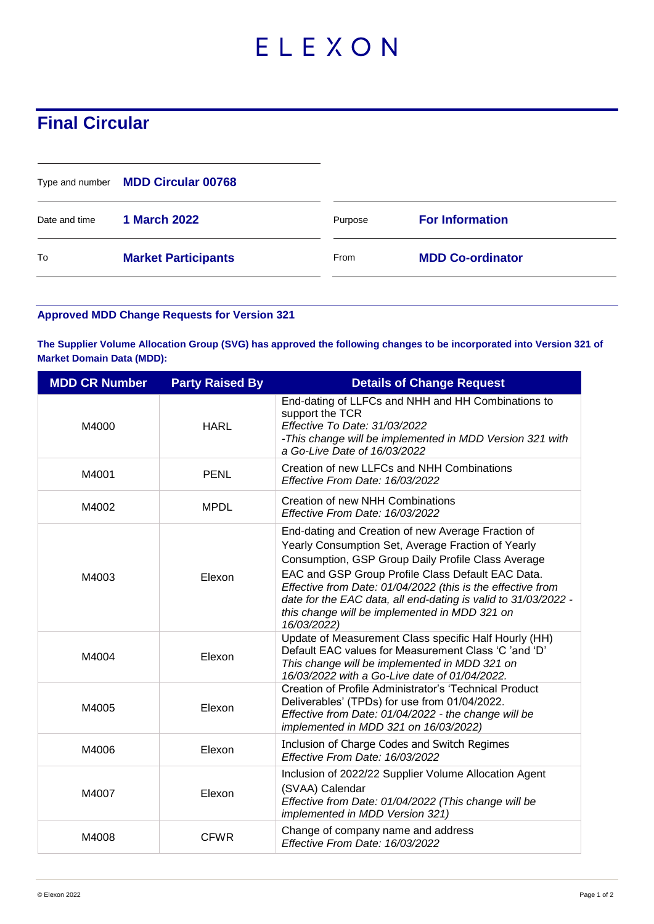## ELEXON

## **Final Circular**

|               | Type and number MDD Circular 00768 |         |                         |
|---------------|------------------------------------|---------|-------------------------|
| Date and time | <b>1 March 2022</b>                | Purpose | <b>For Information</b>  |
| To            | <b>Market Participants</b>         | From    | <b>MDD Co-ordinator</b> |

## **Approved MDD Change Requests for Version 321**

**The Supplier Volume Allocation Group (SVG) has approved the following changes to be incorporated into Version 321 of Market Domain Data (MDD):**

| <b>MDD CR Number</b> | <b>Party Raised By</b> | <b>Details of Change Request</b>                                                                                                                                                                                                                                                                                                                                                                                     |
|----------------------|------------------------|----------------------------------------------------------------------------------------------------------------------------------------------------------------------------------------------------------------------------------------------------------------------------------------------------------------------------------------------------------------------------------------------------------------------|
| M4000                | <b>HARL</b>            | End-dating of LLFCs and NHH and HH Combinations to<br>support the TCR<br>Effective To Date: 31/03/2022<br>-This change will be implemented in MDD Version 321 with<br>a Go-Live Date of 16/03/2022                                                                                                                                                                                                                   |
| M4001                | <b>PENL</b>            | Creation of new LLFCs and NHH Combinations<br>Effective From Date: 16/03/2022                                                                                                                                                                                                                                                                                                                                        |
| M4002                | <b>MPDL</b>            | Creation of new NHH Combinations<br>Effective From Date: 16/03/2022                                                                                                                                                                                                                                                                                                                                                  |
| M4003                | Elexon                 | End-dating and Creation of new Average Fraction of<br>Yearly Consumption Set, Average Fraction of Yearly<br>Consumption, GSP Group Daily Profile Class Average<br>EAC and GSP Group Profile Class Default EAC Data.<br>Effective from Date: 01/04/2022 (this is the effective from<br>date for the EAC data, all end-dating is valid to 31/03/2022 -<br>this change will be implemented in MDD 321 on<br>16/03/2022) |
| M4004                | Elexon                 | Update of Measurement Class specific Half Hourly (HH)<br>Default EAC values for Measurement Class 'C 'and 'D'<br>This change will be implemented in MDD 321 on<br>16/03/2022 with a Go-Live date of 01/04/2022.                                                                                                                                                                                                      |
| M4005                | Elexon                 | Creation of Profile Administrator's 'Technical Product<br>Deliverables' (TPDs) for use from 01/04/2022.<br>Effective from Date: 01/04/2022 - the change will be<br>implemented in MDD 321 on 16/03/2022)                                                                                                                                                                                                             |
| M4006                | Elexon                 | Inclusion of Charge Codes and Switch Regimes<br>Effective From Date: 16/03/2022                                                                                                                                                                                                                                                                                                                                      |
| M4007                | Elexon                 | Inclusion of 2022/22 Supplier Volume Allocation Agent<br>(SVAA) Calendar<br>Effective from Date: 01/04/2022 (This change will be<br>implemented in MDD Version 321)                                                                                                                                                                                                                                                  |
| M4008                | <b>CFWR</b>            | Change of company name and address<br>Effective From Date: 16/03/2022                                                                                                                                                                                                                                                                                                                                                |